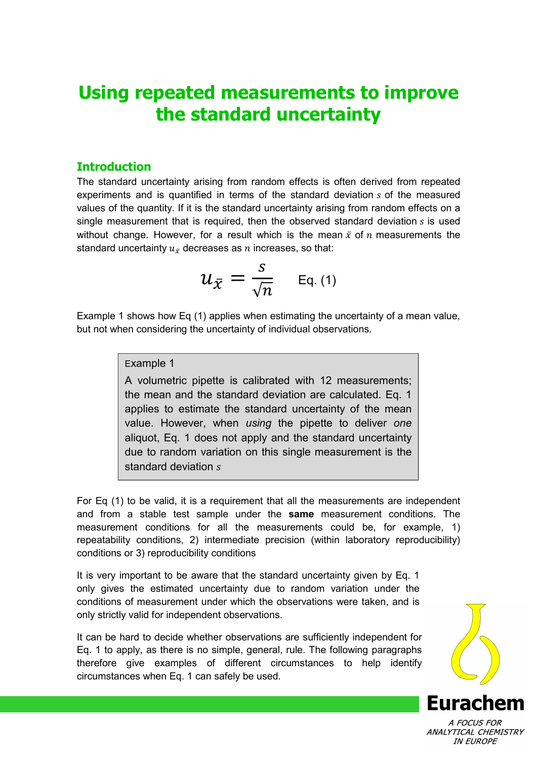# **Using repeated measurements to improve the standard uncertainty**

# **Introduction**

The standard uncertainty arising from random effects is often derived from repeated experiments and is quantified in terms of the standard deviation  $s$  of the measured values of the quantity. If it is the standard uncertainty arising from random effects on a single measurement that is required, then the observed standard deviation  $s$  is used without change. However, for a result which is the mean  $\bar{x}$  of  $n$  measurements the standard uncertainty  $u_{\bar x}$  decreases as  $n$  increases, so that:

$$
u_{\bar{x}}=\frac{s}{\sqrt{n}} \quad \text{Eq. (1)}
$$

Example 1 shows how Eq (1) applies when estimating the uncertainty of a mean value, but not when considering the uncertainty of individual observations.

## Example 1

A volumetric pipette is calibrated with 12 measurements; the mean and the standard deviation are calculated. Eq. 1 applies to estimate the standard uncertainty of the mean value. However, when *using* the pipette to deliver *one*  aliquot, Eq. 1 does not apply and the standard uncertainty due to random variation on this single measurement is the standard deviation s

For Eq (1) to be valid, it is a requirement that all the measurements are independent and from a stable test sample under the **same** measurement conditions. The measurement conditions for all the measurements could be, for example, 1) repeatability conditions, 2) intermediate precision (within laboratory reproducibility) conditions or 3) reproducibility conditions

It is very important to be aware that the standard uncertainty given by Eq. 1 only gives the estimated uncertainty due to random variation under the conditions of measurement under which the observations were taken, and is only strictly valid for independent observations.

It can be hard to decide whether observations are sufficiently independent for Eq. 1 to apply, as there is no simple, general, rule. The following paragraphs therefore give examples of different circumstances to help identify circumstances when Eq. 1 can safely be used.



ANALYTICAL CHEMISTRY **IN FUROPE**